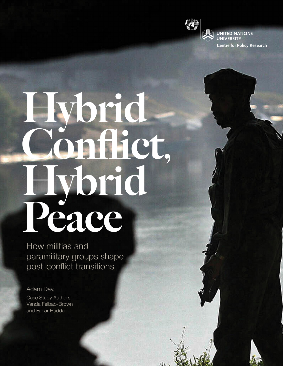

 $\mathcal{A}$ 

**UNITED NATIONS UNIVERSITY Centre for Policy Research** 

## Hybrid maiet, brid Peace

How militias and paramilitary groups shape post-conflict transitions

Adam Day, Case Study Authors: Vanda Felbab-Brown and Fanar Haddad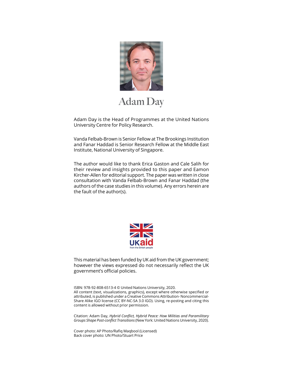

## **Adam Day**

Adam Day is the Head of Programmes at the United Nations University Centre for Policy Research.

Vanda Felbab-Brown is Senior Fellow at The Brookings Institution and Fanar Haddad is Senior Research Fellow at the Middle East Institute, National University of Singapore.

The author would like to thank Erica Gaston and Cale Salih for their review and insights provided to this paper and Eamon Kircher-Allen for editorial support. The paper was written in close consultation with Vanda Felbab-Brown and Fanar Haddad (the authors of the case studies in this volume). Any errors herein are the fault of the author(s).



This material has been funded by UK aid from the UK government; however the views expressed do not necessarily reflect the UK government's official policies.

ISBN: 978-92-808-6513-4 © United Nations University, 2020. All content (text, visualizations, graphics), except where otherwise specified or attributed, is published under a Creative Commons Attribution- Noncommercial-Share Alike IGO license (CC BY-NC-SA 3.0 IGO). Using, re-posting and citing this content is allowed without prior permission.

Citation: Adam Day, *Hybrid Conflict, Hybrid Peace: How Militias and Paramilitary Groups Shape Post-conflict Transitions* (New York: United Nations University, 2020).

Cover photo: AP Photo/Rafiq Maqbool (Licensed) Back cover photo: UN Photo/Stuart Price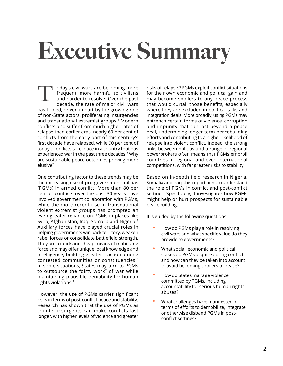## Executive Summary

oday's civil wars are becoming more frequent, more harmful to civilians and harder to resolve. Over the past decade, the rate of major civil wars has tripled, driven in part by the growing role of non-State actors, proliferating insurgencies and transnational extremist groups.<sup>1</sup> Modern conflicts also suffer from much higher rates of relapse than earlier eras: nearly 60 per cent of conflicts from the early part of this century's first decade have relapsed, while 90 per cent of today's conflicts take place in a country that has experienced war in the past three decades.2 Why are sustainable peace outcomes proving more elusive? T

One contributing factor to these trends may be the increasing use of pro-government militias (PGMs) in armed conflict. More than 80 per cent of conflicts over the past 30 years have involved government collaboration with PGMs, while the more recent rise in transnational violent extremist groups has prompted an even greater reliance on PGMs in places like Syria, Afghanistan, Iraq, Somalia and Nigeria.<sup>3</sup> Auxiliary forces have played crucial roles in helping governments win back territory, weaken rebel forces or consolidate battlefield strength. They are a quick and cheap means of mobilizing force and may offer unique local knowledge and intelligence, building greater traction among contested communities or constituencies.4 In some situations, States may turn to PGMs to outsource the "dirty work" of war while maintaining plausible deniability for human rights violations.5

However, the use of PGMs carries significant risks in terms of post-conflict peace and stability. Research has shown that the use of PGMs as counter-insurgents can make conflicts last longer, with higher levels of violence and greater

risks of relapse.6 PGMs exploit conflict situations for their own economic and political gain and may become spoilers to any peace process that would curtail those benefits, especially where they are excluded in political talks and integration deals. More broadly, using PGMs may entrench certain forms of violence, corruption and impunity that can last beyond a peace deal, undermining longer-term peacebuilding efforts and contributing to a higher likelihood of relapse into violent conflict. Indeed, the strong links between militias and a range of regional powerbrokers often means that PGMs embroil countries in regional and even international competitions, with far greater risks to stability.

Based on in-depth field research in Nigeria, Somalia and Iraq, this report aims to understand the role of PGMs in conflict and post-conflict settings. Specifically, it investigates how PGMs might help or hurt prospects for sustainable peacebuilding.

It is guided by the following questions:

- How do PGMs play a role in resolving civil wars and what specific value do they provide to governments?
- What social, economic and political stakes do PGMs acquire during conflict and how can they be taken into account to avoid becoming spoilers to peace?
- How do States manage violence committed by PGMs, including accountability for serious human rights abuses?
- What challenges have manifested in terms of efforts to demobilize, integrate or otherwise disband PGMs in postconflict settings?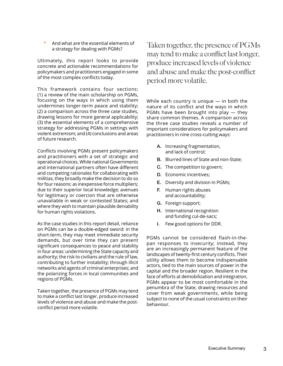• And what are the essential elements of a strategy for dealing with PGMs?

Ultimately, this report looks to provide concrete and actionable recommendations for policymakers and practitioners engaged in some of the most complex conflicts today.

This framework contains four sections: (1) a review of the main scholarship on PGMs, focusing on the ways in which using them undermines longer-term peace and stability; (2) a comparison across the three case studies, drawing lessons for more general applicability; (3) the essential elements of a comprehensive strategy for addressing PGMs in settings with violent extremism; and (4) conclusions and areas of future research.

Conflicts involving PGMs present policymakers and practitioners with a set of strategic and operational choices. While national Governments and international partners often have different and competing rationales for collaborating with militias, they broadly make the decision to do so for four reasons: as inexpensive force multipliers; due to their superior local knowledge; avenues for legitimacy or coercion that are otherwise unavailable in weak or contested States; and where they wish to maintain plausible deniability for human rights violations.

As the case studies in this report detail, reliance on PGMs can be a double-edged sword: in the short-term, they may meet immediate security demands, but over time they can present significant consequences to peace and stability in four areas: undermining the State capacity and authority; the risk to civilians and the rule of law, contributing to further instability; through illicit networks and agents of criminal enterprises; and the polarizing forces in local communities and regions of PGMs.

Taken together, the presence of PGMs may tend to make a conflict last longer, produce increased levels of violence and abuse and make the postconflict period more volatile.

Taken together, the presence of PGMs may tend to make a conflict last longer, produce increased levels of violence and abuse and make the post-conflict period more volatile.

While each country is unique — in both the nature of its conflict and the ways in which PGMs have been brought into play — they share common themes. A comparison across the three case studies reveals a number of important considerations for policymakers and practitioners in nine cross-cutting ways:

- A. Increasing fragmentation, and lack of control;
- B. Blurred lines of State and non-State;
- C. The competition to govern;
- D. Economic incentives;
- E. Diversity and division in PGMs;
- F. Human rights abuses and accountability;
- G. Foreign support;
- H. International recognition and funding cul-de-sacs;
- I. Few good options for DDR.

PGMs cannot be considered flash-in-thepan responses to insecurity; instead, they are an increasingly permanent feature of the landscapes of twenty-first century conflicts. Their utility allows them to become indispensable actors, tied to the main sources of power in the capital and the broader region. Resilient in the face of efforts at demobilization and integration, PGMs appear to be most comfortable in the penumbra of the State, drawing resources and cover from weak governments, while being subject to none of the usual constraints on their behaviour.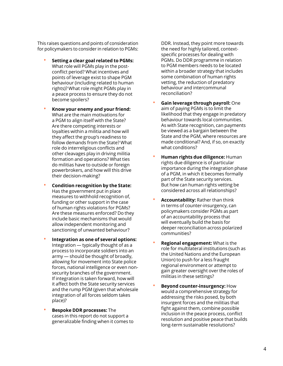This raises questions and points of consideration for policymakers to consider in relation to PGMs:

- **Setting a clear goal related to PGMs:** What role will PGMs play in the postconflict period? What incentives and points of leverage exist to shape PGM behaviour (including related to human rights)? What role might PGMs play in a peace process to ensure they do not become spoilers?
- **Know your enemy and your friend:**  What are the main motivations for a PGM to align itself with the State? Are there competing interests or loyalties within a militia and how will they affect the group's readiness to follow demands from the State? What role do interreligious conflicts and other cleavages play in driving militia formation and operations? What ties do militias have to outside or foreign powerbrokers, and how will this drive their decision-making?
- **Condition recognition by the State:** Has the government put in place measures to withhold recognition of, funding or other support in the case of human rights violations for PGMs? Are these measures enforced? Do they include basic mechanisms that would allow independent monitoring and sanctioning of unwanted behaviour?
- **Integration as one of several options:** Integration — typically thought of as a process to incorporate soldiers into an army — should be thought of broadly, allowing for movement into State police forces, national intelligence or even nonsecurity branches of the government. If integration is taken forward, how will it affect both the State security services and the rump PGM (given that wholesale integration of all forces seldom takes place)?
- **Bespoke DDR processes:** The cases in this report do not support a generalizable finding when it comes to

DDR. Instead, they point more towards the need for highly tailored, contextspecific processes for dealing with PGMs. Do DDR programme in relation to PGM members needs to be located within a broader strategy that includes some combination of human rights vetting, the reduction of predatory behaviour and intercommunal reconciliation?

- **Gain leverage through payroll:** One aim of paying PGMs is to limit the likelihood that they engage in predatory behaviour towards local communities. As with State recognition, can payments be viewed as a bargain between the State and the PGM, where resources are made conditional? And, if so, on exactly what conditions?
- **Human rights due diligence:** Human rights due diligence is of particular importance during the integration phase of a PGM, in which it becomes formally part of the State security services. But how can human rights vetting be considered across all relationships?
- **Accountability:** Rather than think in terms of counter-insurgency, can policymakers consider PGMs as part of an accountability process that will eventually build the basis for deeper reconciliation across polarized communities?
- **Regional engagement:** What is the role for multilateral institutions (such as the United Nations and the European Union) to push for a less fraught regional environment or attempt to gain greater oversight over the roles of militias in these settings?
- **Beyond counter-insurgency:** How would a comprehensive strategy for addressing the risks posed, by both insurgent forces and the militias that fight against them, combine possible inclusion in the peace process, conflict resolution and positive peace that builds long-term sustainable resolutions?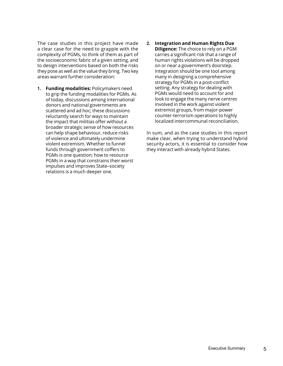The case studies in this project have made a clear case for the need to grapple with the complexity of PGMs, to think of them as part of the socioeconomic fabric of a given setting, and to design interventions based on both the risks they pose as well as the value they bring. Two key areas warrant further consideration:

- 1. **Funding modalities:** Policymakers need to grip the funding modalities for PGMs. As of today, discussions among international donors and national governments are scattered and ad hoc; these discussions reluctantly search for ways to maintain the impact that militias offer without a broader strategic sense of how resources can help shape behaviour, reduce risks of violence and ultimately undermine violent extremism. Whether to funnel funds through government coffers to PGMs is one question; how to resource PGMs in a way that constrains their worst impulses and improves State–society relations is a much deeper one.
- 2. **Integration and Human Rights Due Diligence:** The choice to rely on a PGM carries a significant risk that a range of human rights violations will be dropped on or near a government's doorstep. Integration should be one tool among many in designing a comprehensive strategy for PGMs in a post-conflict setting. Any strategy for dealing with PGMs would need to account for and look to engage the many nerve centres involved in the work against violent extremist groups, from major-power counter-terrorism operations to highly localized intercommunal reconciliation.

In sum, and as the case studies in this report make clear, when trying to understand hybrid security actors, it is essential to consider how they interact with already hybrid States.